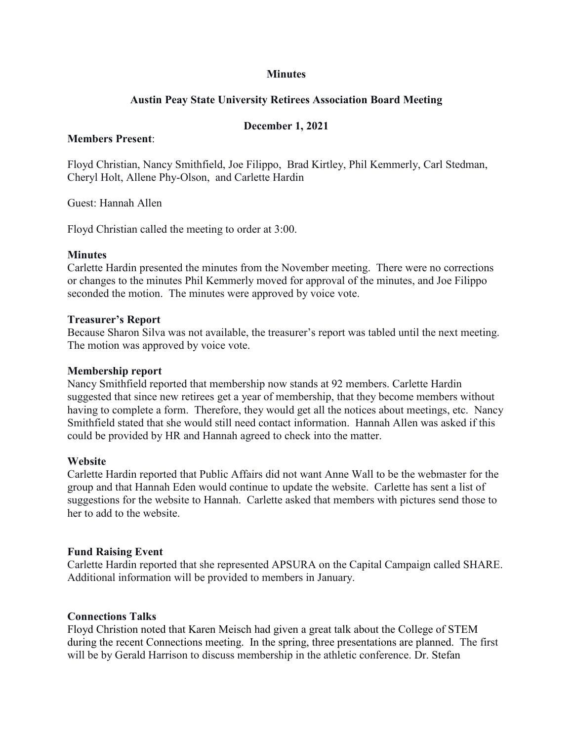### **Minutes**

# **Austin Peay State University Retirees Association Board Meeting**

## **December 1, 2021**

### **Members Present**:

Floyd Christian, Nancy Smithfield, Joe Filippo, Brad Kirtley, Phil Kemmerly, Carl Stedman, Cheryl Holt, Allene Phy-Olson, and Carlette Hardin

Guest: Hannah Allen

Floyd Christian called the meeting to order at 3:00.

### **Minutes**

Carlette Hardin presented the minutes from the November meeting. There were no corrections or changes to the minutes Phil Kemmerly moved for approval of the minutes, and Joe Filippo seconded the motion. The minutes were approved by voice vote.

### **Treasurer's Report**

Because Sharon Silva was not available, the treasurer's report was tabled until the next meeting. The motion was approved by voice vote.

#### **Membership report**

Nancy Smithfield reported that membership now stands at 92 members. Carlette Hardin suggested that since new retirees get a year of membership, that they become members without having to complete a form. Therefore, they would get all the notices about meetings, etc. Nancy Smithfield stated that she would still need contact information. Hannah Allen was asked if this could be provided by HR and Hannah agreed to check into the matter.

#### **Website**

Carlette Hardin reported that Public Affairs did not want Anne Wall to be the webmaster for the group and that Hannah Eden would continue to update the website. Carlette has sent a list of suggestions for the website to Hannah. Carlette asked that members with pictures send those to her to add to the website.

#### **Fund Raising Event**

Carlette Hardin reported that she represented APSURA on the Capital Campaign called SHARE. Additional information will be provided to members in January.

#### **Connections Talks**

Floyd Christion noted that Karen Meisch had given a great talk about the College of STEM during the recent Connections meeting. In the spring, three presentations are planned. The first will be by Gerald Harrison to discuss membership in the athletic conference. Dr. [Stefan](https://www.apsu.edu/biology/woltmann)